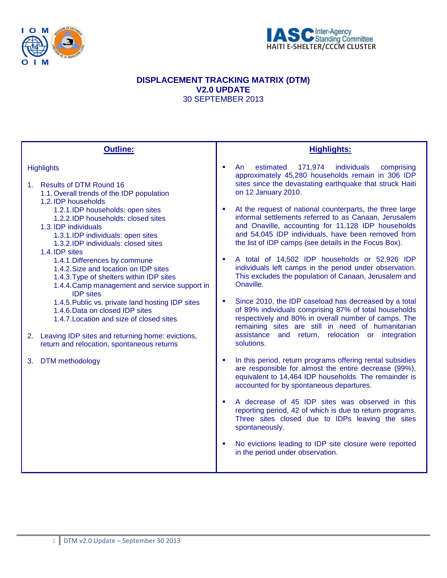



# **DISPLACEMENT TRACKING MATRIX (DTM) V2.0 UPDATE** 30 SEPTEMBER 2013

| <b>Outline:</b>                                                                                                                                                                                                                                                                                                                                                                                                | <b>Highlights:</b>                                                                                                                                                                                                                                                                                     |
|----------------------------------------------------------------------------------------------------------------------------------------------------------------------------------------------------------------------------------------------------------------------------------------------------------------------------------------------------------------------------------------------------------------|--------------------------------------------------------------------------------------------------------------------------------------------------------------------------------------------------------------------------------------------------------------------------------------------------------|
| <b>Highlights</b><br>1. Results of DTM Round 16<br>1.1. Overall trends of the IDP population                                                                                                                                                                                                                                                                                                                   | estimated<br>171,974<br>individuals<br>An<br>comprising<br>٠<br>approximately 45,280 households remain in 306 IDP<br>sites since the devastating earthquake that struck Haiti<br>on 12 January 2010.                                                                                                   |
| 1.2. IDP households<br>1.2.1.IDP households: open sites<br>1.2.2.IDP households: closed sites<br>1.3. IDP individuals<br>1.3.1.IDP individuals: open sites<br>1.3.2.IDP individuals: closed sites<br>1.4. IDP sites<br>1.4.1. Differences by commune<br>1.4.2. Size and location on IDP sites<br>1.4.3. Type of shelters within IDP sites<br>1.4.4. Camp management and service support in<br><b>IDP</b> sites | At the request of national counterparts, the three large<br>$\mathbf{r}$<br>informal settlements referred to as Canaan, Jerusalem<br>and Onaville, accounting for 11,128 IDP households<br>and 54,045 IDP individuals, have been removed from<br>the list of IDP camps (see details in the Focus Box). |
|                                                                                                                                                                                                                                                                                                                                                                                                                | A total of 14,502 IDP households or 52,926 IDP<br>٠<br>individuals left camps in the period under observation.<br>This excludes the population of Canaan, Jerusalem and<br>Onaville.                                                                                                                   |
| 1.4.5. Public vs. private land hosting IDP sites<br>1.4.6. Data on closed IDP sites<br>1.4.7. Location and size of closed sites                                                                                                                                                                                                                                                                                | Since 2010, the IDP caseload has decreased by a total<br>٠<br>of 89% individuals comprising 87% of total households<br>respectively and 80% in overall number of camps. The<br>remaining sites are still in need of humanitarian<br>assistance and return, relocation or integration                   |
| 2. Leaving IDP sites and returning home: evictions,<br>return and relocation, spontaneous returns                                                                                                                                                                                                                                                                                                              | solutions.                                                                                                                                                                                                                                                                                             |
| DTM methodology<br>3.                                                                                                                                                                                                                                                                                                                                                                                          | In this period, return programs offering rental subsidies<br>٠<br>are responsible for almost the entire decrease (99%),<br>equivalent to 14,464 IDP households. The remainder is<br>accounted for by spontaneous departures.                                                                           |
|                                                                                                                                                                                                                                                                                                                                                                                                                | A decrease of 45 IDP sites was observed in this<br>reporting period, 42 of which is due to return programs.<br>Three sites closed due to IDPs leaving the sites<br>spontaneously.                                                                                                                      |
|                                                                                                                                                                                                                                                                                                                                                                                                                | No evictions leading to IDP site closure were reported<br>in the period under observation.                                                                                                                                                                                                             |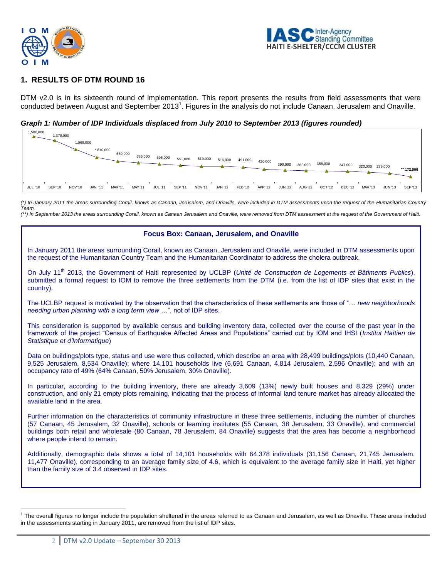



## **1. RESULTS OF DTM ROUND 16**

DTM v2.0 is in its sixteenth round of implementation. This report presents the results from field assessments that were conducted between August and September 2013<sup>1</sup>. Figures in the analysis do not include Canaan, Jerusalem and Onaville.

*Graph 1: Number of IDP Individuals displaced from July 2010 to September 2013 (figures rounded)*

| 1,500,000<br>- | 1,370,000      | 1,069,000      | $*810,000$ | 680,000        | 635,000        | 595,000        | 551,000        | 519,000       | 516,000 | 491,000 | 420,000 | 390,000 | 369,000        | 358,000            | 347,000        | 320,000 279,000 |                | ** 172,000     |
|----------------|----------------|----------------|------------|----------------|----------------|----------------|----------------|---------------|---------|---------|---------|---------|----------------|--------------------|----------------|-----------------|----------------|----------------|
| JUL '10        | <b>SEP '10</b> | <b>NOV</b> '10 | JAN '11    | <b>MAR '11</b> | <b>MAY '11</b> | <b>JUL '11</b> | <b>SEP '11</b> | <b>NOV'11</b> | JAN '12 | FEB '12 | APR '12 | JUN '12 | <b>AUG '12</b> | OCT <sub>'12</sub> | <b>DEC '12</b> | <b>MAR '13</b>  | <b>JUN '13</b> | <b>SEP '13</b> |

*(\*) In January 2011 the areas surrounding Corail, known as Canaan, Jerusalem, and Onaville, were included in DTM assessments upon the request of the Humanitarian Country Team.* 

*(\*\*) In September 2013 the areas surrounding Corail, known as Canaan Jerusalem and Onaville, were removed from DTM assessment at the request of the Government of Haiti.*

#### **Focus Box: Canaan, Jerusalem, and Onaville**

In January 2011 the areas surrounding Corail, known as Canaan, Jerusalem and Onaville, were included in DTM assessments upon the request of the Humanitarian Country Team and the Humanitarian Coordinator to address the cholera outbreak.

On July 11th 2013, the Government of Haiti represented by UCLBP (*Unité de Construction de Logements et Bâtiments Publics*), submitted a formal request to IOM to remove the three settlements from the DTM (i.e. from the list of IDP sites that exist in the country).

The UCLBP request is motivated by the observation that the characteristics of these settlements are those of "… *new neighborhoods needing urban planning with a long term view …*", not of IDP sites.

This consideration is supported by available census and building inventory data, collected over the course of the past year in the framework of the project "Census of Earthquake Affected Areas and Populations" carried out by IOM and IHSI (*Institut Haïtien de Statistique et d'Informatique*)

Data on buildings/plots type, status and use were thus collected, which describe an area with 28,499 buildings/plots (10,440 Canaan, 9,525 Jerusalem, 8,534 Onaville); where 14,101 households live (6,691 Canaan, 4,814 Jerusalem, 2,596 Onaville); and with an occupancy rate of 49% (64% Canaan, 50% Jerusalem, 30% Onaville).

In particular, according to the building inventory, there are already 3,609 (13%) newly built houses and 8,329 (29%) under construction, and only 21 empty plots remaining, indicating that the process of informal land tenure market has already allocated the available land in the area.

Further information on the characteristics of community infrastructure in these three settlements, including the number of churches (57 Canaan, 45 Jerusalem, 32 Onaville), schools or learning institutes (55 Canaan, 38 Jerusalem, 33 Onaville), and commercial buildings both retail and wholesale (80 Canaan, 78 Jerusalem, 84 Onaville) suggests that the area has become a neighborhood where people intend to remain.

Additionally, demographic data shows a total of 14,101 households with 64,378 individuals (31,156 Canaan, 21,745 Jerusalem, 11,477 Onaville), corresponding to an average family size of 4.6, which is equivalent to the average family size in Haiti, yet higher than the family size of 3.4 observed in IDP sites.

 $\overline{a}$ 

 $1$  The overall figures no longer include the population sheltered in the areas referred to as Canaan and Jerusalem, as well as Onaville. These areas included in the assessments starting in January 2011, are removed from the list of IDP sites.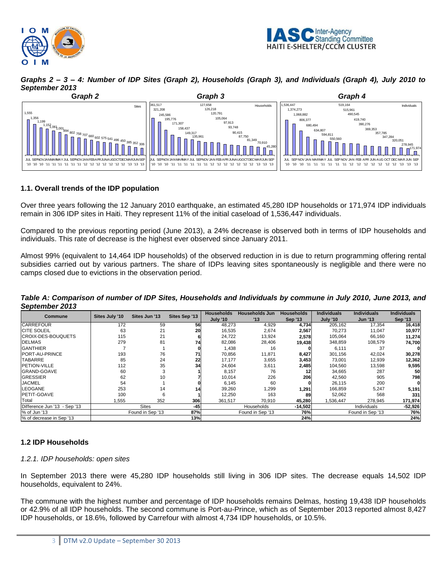



*Graphs 2 – 3 – 4: Number of IDP Sites (Graph 2), Households (Graph 3), and Individuals (Graph 4), July 2010 to September 2013*



### **1.1. Overall trends of the IDP population**

Over three years following the 12 January 2010 earthquake, an estimated 45,280 IDP households or 171,974 IDP individuals remain in 306 IDP sites in Haiti. They represent 11% of the initial caseload of 1,536,447 individuals.

Compared to the previous reporting period (June 2013), a 24% decrease is observed both in terms of IDP households and individuals. This rate of decrease is the highest ever observed since January 2011.

Almost 99% (equivalent to 14,464 IDP households) of the observed reduction in is due to return programming offering rental subsidies carried out by various partners. The share of IDPs leaving sites spontaneously is negligible and there were no camps closed due to evictions in the observation period.

*Table A: Comparison of number of IDP Sites, Households and Individuals by commune in July 2010, June 2013, and September 2013*

| Commune                      | Sites July '10 | Sites Jun '13    | Sites Sep '13 | <b>Households</b> | <b>Households Jun</b> | <b>Households</b> | <b>Individuals</b> | <b>Individuals</b> | <b>Individuals</b> |
|------------------------------|----------------|------------------|---------------|-------------------|-----------------------|-------------------|--------------------|--------------------|--------------------|
|                              |                |                  |               | <b>July '10</b>   | '13                   | <b>Sep '13</b>    | July '10           | <b>Jun '13</b>     | <b>Sep '13</b>     |
| <b>CARREFOUR</b>             | 172            | 59               | 56            | 48,273            | 4,929                 | 4,734             | 205,162            | 17,354             | 16,418             |
| <b>CITE SOLEIL</b>           | 63             | 21               | 20            | 16,535            | 2,674                 | 2,567             | 70,273             | 11,047             | 10,977             |
| <b>CROIX-DES-BOUQUETS</b>    | 115            | 21               |               | 24,722            | 13,924                | 2,578             | 105,064            | 66,160             | 11,274             |
| <b>DELMAS</b>                | 279            | 81               | 74            | 82,086            | 28,406                | 19,438            | 348,859            | 108,579            | 74,700             |
| <b>GANTHIER</b>              |                |                  |               | 1,438             | 16                    |                   | 6,111              | 37                 |                    |
| PORT-AU-PRINCE               | 193            | 76               | 71            | 70,856            | 11,871                | 8,427             | 301,156            | 42,024             | 30,278             |
| <b>TABARRE</b>               | 85             | 24               | 22            | 17.177            | 3,655                 | 3,453             | 73,001             | 12,939             | 12,362             |
| <b>PETION-VILLE</b>          | 112            | 35               | 34            | 24,604            | 3,611                 | 2,485             | 104,560            | 13,598             | 9,595              |
| <b>GRAND-GOAVE</b>           | 60             |                  |               | 8,157             | 76                    |                   | 34,665             | 287                | 50                 |
| <b>GRESSIER</b>              | 62             | 10               |               | 10.014            | 226                   | 206               | 42,560             | 905                | 798                |
| <b>JACMEL</b>                | 54             |                  |               | 6,145             | 60                    |                   | 26,115             | 200                |                    |
| <b>LEOGANE</b>               | 253            | 14               | 14            | 39,260            | 1,299                 | 1,291             | 166,859            | 5,247              | 5,191              |
| PETIT-GOAVE                  | 100            | 6                |               | 12,250            | 163                   | 89                | 52,062             | 568                | 331                |
| Total                        | 1,555          | 352              | 306           | 361.517           | 70.910                | 45,280            | 1,536,447          | 278.945            | 171,974            |
| Difference Jun '13 - Sep '13 |                | <b>Sites</b>     | $-45$         |                   | Households            | $-14,502$         |                    | Individuals        | $-52,926$          |
| % of Jun '13                 |                | Found in Sep '13 | 87%           |                   | Found in Sep '13      | 76%               |                    | Found in Sep '13   | 76%                |
| % of decrease in Sep '13     |                |                  | 13%           |                   |                       | 24%               |                    |                    | 24%                |

## **1.2 IDP Households**

#### *1.2.1. IDP households: open sites*

In September 2013 there were 45,280 IDP households still living in 306 IDP sites. The decrease equals 14,502 IDP households, equivalent to 24%.

The commune with the highest number and percentage of IDP households remains Delmas, hosting 19,438 IDP households or 42.9% of all IDP households. The second commune is Port-au-Prince, which as of September 2013 reported almost 8,427 IDP households, or 18.6%, followed by Carrefour with almost 4,734 IDP households, or 10.5%.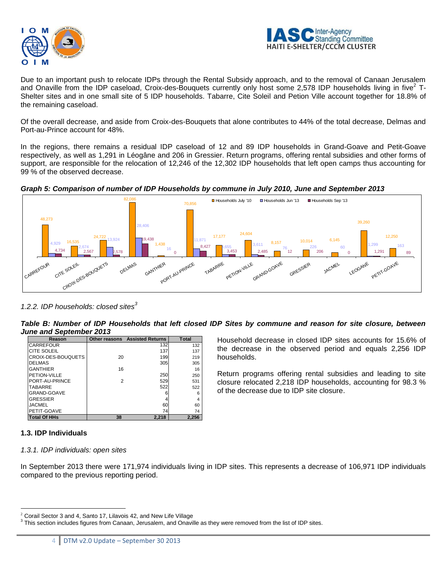



Due to an important push to relocate IDPs through the Rental Subsidy approach, and to the removal of Canaan Jerusalem and Onaville from the IDP caseload, Croix-des-Bouquets currently only host some 2,578 IDP households living in five<sup>2</sup> T-Shelter sites and in one small site of 5 IDP households. Tabarre, Cite Soleil and Petion Ville account together for 18.8% of the remaining caseload.

Of the overall decrease, and aside from Croix-des-Bouquets that alone contributes to 44% of the total decrease, Delmas and Port-au-Prince account for 48%.

In the regions, there remains a residual IDP caseload of 12 and 89 IDP households in Grand-Goave and Petit-Goave respectively, as well as 1,291 in Léogâne and 206 in Gressier. Return programs, offering rental subsidies and other forms of support, are responsible for the relocation of 12,246 of the 12,302 IDP households that left open camps thus accounting for 99 % of the observed decrease.

*Graph 5: Comparison of number of IDP Households by commune in July 2010, June and September 2013*



*1.2.2. IDP households: closed sites<sup>3</sup>*

*Table B: Number of IDP Households that left closed IDP Sites by commune and reason for site closure, between June and September 2013*

| Reason              | Other reasons  | <b>Assisted Returns</b> | Total |  |
|---------------------|----------------|-------------------------|-------|--|
| CARREFOUR           |                | 132                     | 132   |  |
| <b>CITE SOLEIL</b>  |                | 137                     | 137   |  |
| CROIX-DES-BOUQUETS  | 20             | 199                     | 219   |  |
| <b>DELMAS</b>       |                | 305                     | 305   |  |
| <b>GANTHIER</b>     | 16             |                         | 16    |  |
| PETION-VILLE        |                | 250                     | 250   |  |
| PORT-AU-PRINCE      | $\overline{2}$ | 529                     | 531   |  |
| TABARRE             |                | 522                     | 522   |  |
| <b>GRAND-GOAVE</b>  |                | հ                       | 6     |  |
| <b>GRESSIER</b>     |                |                         | 4     |  |
| JACMEL              |                | 60                      | 60    |  |
| PETIT-GOAVE         |                | 74                      | 74    |  |
| <b>Total Of HHs</b> | 38             | 2,218                   | 2.256 |  |

Household decrease in closed IDP sites accounts for 15.6% of the decrease in the observed period and equals 2,256 IDP households.

Return programs offering rental subsidies and leading to site closure relocated 2,218 IDP households, accounting for 98.3 % of the decrease due to IDP site closure.

## **1.3. IDP Individuals**

## *1.3.1. IDP individuals: open sites*

In September 2013 there were 171,974 individuals living in IDP sites. This represents a decrease of 106,971 IDP individuals compared to the previous reporting period.

 $\overline{a}$  $2$  Corail Sector 3 and 4, Santo 17, Lilavois 42, and New Life Village

 $3$  This section includes figures from Canaan, Jerusalem, and Onaville as they were removed from the list of IDP sites.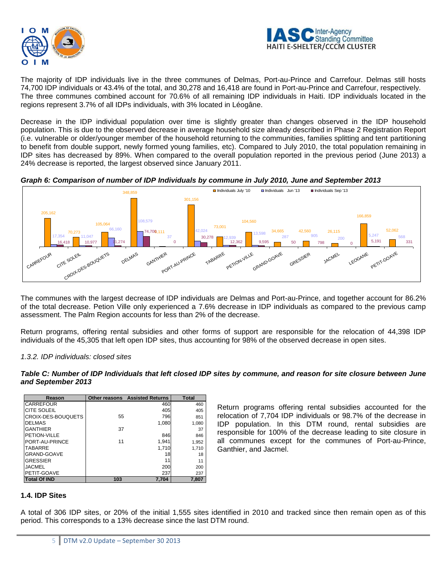



The majority of IDP individuals live in the three communes of Delmas, Port-au-Prince and Carrefour. Delmas still hosts 74,700 IDP individuals or 43.4% of the total, and 30,278 and 16,418 are found in Port-au-Prince and Carrefour, respectively. The three communes combined account for 70.6% of all remaining IDP individuals in Haiti. IDP individuals located in the regions represent 3.7% of all IDPs individuals, with 3% located in Léogâne.

Decrease in the IDP individual population over time is slightly greater than changes observed in the IDP household population. This is due to the observed decrease in average household size already described in Phase 2 Registration Report (i.e. vulnerable or older/younger member of the household returning to the communities, families splitting and tent partitioning to benefit from double support, newly formed young families, etc). Compared to July 2010, the total population remaining in IDP sites has decreased by 89%. When compared to the overall population reported in the previous period (June 2013) a 24% decrease is reported, the largest observed since January 2011.

*Graph 6: Comparison of number of IDP Individuals by commune in July 2010, June and September 2013*



The communes with the largest decrease of IDP individuals are Delmas and Port-au-Prince, and together account for 86.2% of the total decrease. Petion Ville only experienced a 7.6% decrease in IDP individuals as compared to the previous camp assessment. The Palm Region accounts for less than 2% of the decrease.

Return programs, offering rental subsidies and other forms of support are responsible for the relocation of 44,398 IDP individuals of the 45,305 that left open IDP sites, thus accounting for 98% of the observed decrease in open sites.

## *1.3.2. IDP individuals: closed sites*

|                    | Table C: Number of IDP Individuals that left closed IDP sites by commune, and reason for site closure between June |  |  |  |
|--------------------|--------------------------------------------------------------------------------------------------------------------|--|--|--|
| and September 2013 |                                                                                                                    |  |  |  |

| Reason              |     | <b>Other reasons Assisted Returns</b> | <b>Total</b> |
|---------------------|-----|---------------------------------------|--------------|
| <b>CARREFOUR</b>    |     | 460                                   | 460          |
| <b>CITE SOLEIL</b>  |     | 405                                   | 405          |
| CROIX-DES-BOUQUETS  | 55  | 796                                   | 851          |
| <b>DELMAS</b>       |     | 1.080                                 | 1.080        |
| <b>GANTHIER</b>     | 37  |                                       | 37           |
| PETION-VILLE        |     | 846                                   | 846          |
| PORT-AU-PRINCE      | 11  | 1,941                                 | 1,952        |
| <b>TABARRE</b>      |     | 1,710                                 | 1,710        |
| GRAND-GOAVE         |     | 18                                    | 18           |
| <b>GRESSIER</b>     |     | 11                                    | 11           |
| <b>JACMEL</b>       |     | 200                                   | 200          |
| PETIT-GOAVE         |     | 237                                   | 237          |
| <b>Total Of IND</b> | 103 | 7.704                                 | 7.807        |

Return programs offering rental subsidies accounted for the relocation of 7,704 IDP individuals or 98.7% of the decrease in IDP population. In this DTM round, rental subsidies are responsible for 100% of the decrease leading to site closure in all communes except for the communes of Port-au-Prince, Ganthier, and Jacmel.

## **1.4. IDP Sites**

A total of 306 IDP sites, or 20% of the initial 1,555 sites identified in 2010 and tracked since then remain open as of this period. This corresponds to a 13% decrease since the last DTM round.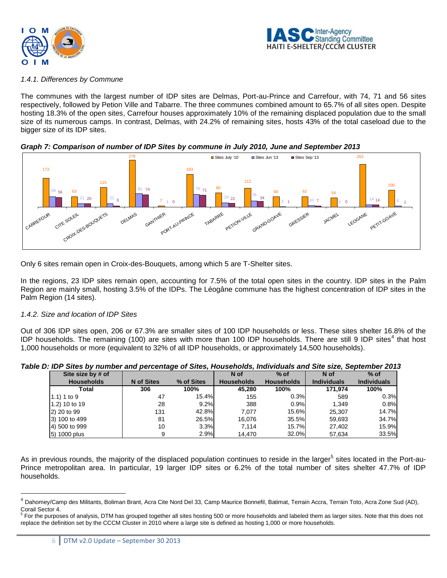



#### *1.4.1. Differences by Commune*

The communes with the largest number of IDP sites are Delmas, Port-au-Prince and Carrefour, with 74, 71 and 56 sites respectively, followed by Petion Ville and Tabarre. The three communes combined amount to 65.7% of all sites open. Despite hosting 18.3% of the open sites, Carrefour houses approximately 10% of the remaining displaced population due to the small size of its numerous camps. In contrast, Delmas, with 24.2% of remaining sites, hosts 43% of the total caseload due to the bigger size of its IDP sites.

*Graph 7: Comparison of number of IDP Sites by commune in July 2010, June and September 2013*



Only 6 sites remain open in Croix-des-Bouquets, among which 5 are T-Shelter sites.

In the regions, 23 IDP sites remain open, accounting for 7.5% of the total open sites in the country. IDP sites in the Palm Region are mainly small, hosting 3.5% of the IDPs. The Léogâne commune has the highest concentration of IDP sites in the Palm Region (14 sites).

## *1.4.2. Size and location of IDP Sites*

 $\overline{a}$ 

Out of 306 IDP sites open, 206 or 67.3% are smaller sites of 100 IDP households or less. These sites shelter 16.8% of the IDP households. The remaining (100) are sites with more than 100 IDP households. There are still 9 IDP sites<sup>4</sup> that host 1,000 households or more (equivalent to 32% of all IDP households, or approximately 14,500 households).

| Site size by # of |                   |            | N of              | $%$ of            | N of               | $%$ of             |
|-------------------|-------------------|------------|-------------------|-------------------|--------------------|--------------------|
| <b>Households</b> | <b>N</b> of Sites | % of Sites | <b>Households</b> | <b>Households</b> | <b>Individuals</b> | <b>Individuals</b> |
| Total             | 306               | 100%       | 45,280            | 100%              | 171,974            | 100%               |
| $(1.1)$ 1 to 9    | 47                | 15.4%      | 155               | 0.3%              | 589                | 0.3%               |
| 1.2) 10 to 19     | 28                | 9.2%       | 388               | 0.9%              | 1.349              | 0.8%               |
| 2) 20 to 99       | 131               | 42.8%      | 7.077             | 15.6%             | 25.307             | 14.7%              |
| 3) 100 to 499     | 81                | 26.5%      | 16.076            | 35.5%             | 59,693             | 34.7%              |
| 4) 500 to 999     | 10                | 3.3%       | 7.114             | 15.7%             | 27.402             | 15.9%              |
| 5) 1000 plus      | 9                 | 2.9%       | 14.470            | 32.0%             | 57.634             | 33.5%              |

*Table D: IDP Sites by number and percentage of Sites, Households, Individuals and Site size, September 2013*

As in previous rounds, the majority of the displaced population continues to reside in the larger<sup>5</sup> sites located in the Port-au-Prince metropolitan area. In particular, 19 larger IDP sites or 6.2% of the total number of sites shelter 47.7% of IDP households.

<sup>&</sup>lt;sup>4</sup> Dahomey/Camp des Militants, Boliman Brant, Acra Cite Nord Del 33, Camp Maurice Bonnefil, Batimat, Terrain Accra, Terrain Toto, Acra Zone Sud (AD), Corail Sector 4.

<sup>&</sup>lt;sup>5</sup> For the purposes of analysis, DTM has grouped together all sites hosting 500 or more households and labeled them as larger sites. Note that this does not replace the definition set by the CCCM Cluster in 2010 where a large site is defined as hosting 1,000 or more households.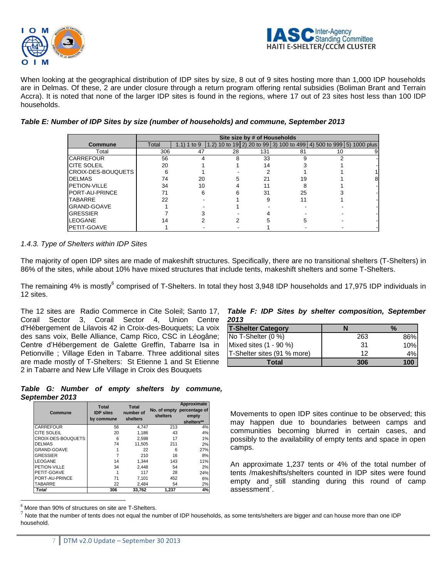



When looking at the geographical distribution of IDP sites by size, 8 out of 9 sites hosting more than 1,000 IDP households are in Delmas. Of these, 2 are under closure through a return program offering rental subsidies (Boliman Brant and Terrain Accra). It is noted that none of the larger IDP sites is found in the regions, where 17 out of 23 sites host less than 100 IDP households.

#### *Table E: Number of IDP Sites by size (number of households) and commune, September 2013*

|                        | Site size by # of Households |             |       |     |                                                               |    |  |  |
|------------------------|------------------------------|-------------|-------|-----|---------------------------------------------------------------|----|--|--|
| Commune                | Total                        | 1.1) 1 to 9 | (1.2) |     | 10 to 19 2) 20 to 99 3) 100 to 499 4) 500 to 999 5) 1000 plus |    |  |  |
| Total                  | 306                          | 47          | 28    | 131 | 81                                                            | 10 |  |  |
| <b>ICARREFOUR</b>      | 56                           |             | 8     | 33  |                                                               |    |  |  |
| <b>ICITE SOLEIL</b>    | 20                           |             |       | 14  |                                                               |    |  |  |
| ICROIX-DES-BOUQUETS    | 6                            |             |       |     |                                                               |    |  |  |
| <b>IDELMAS</b>         | 74                           | 20          |       |     | 19                                                            |    |  |  |
| <b>PETION-VILLE</b>    | 34                           | 10          |       |     |                                                               |    |  |  |
| <b>IPORT-AU-PRINCE</b> |                              | 6           |       | 31  | 25                                                            |    |  |  |
| <b>TABARRE</b>         | 22                           |             |       |     |                                                               |    |  |  |
| IGRAND-GOAVE           |                              |             |       |     |                                                               |    |  |  |
| <b>IGRESSIER</b>       |                              |             |       |     |                                                               |    |  |  |
| <b>LEOGANE</b>         | 14                           |             |       |     |                                                               |    |  |  |
| <b>IPETIT-GOAVE</b>    |                              |             |       |     |                                                               |    |  |  |

### *1.4.3. Type of Shelters within IDP Sites*

The majority of open IDP sites are made of makeshift structures. Specifically, there are no transitional shelters (T-Shelters) in 86% of the sites, while about 10% have mixed structures that include tents, makeshift shelters and some T-Shelters.

The remaining 4% is mostly<sup>6</sup> comprised of T-Shelters. In total they host 3,948 IDP households and 17,975 IDP individuals in 12 sites.

The 12 sites are Radio Commerce in Cite Soleil; Santo 17, Corail Sector 3, Corail Sector 4, Union Centre d'Hébergement de Lilavois 42 in Croix-des-Bouquets; La voix des sans voix, Belle Alliance, Camp Rico, CSC in Léogâne; Centre d'Hébergement de Galette Greffin, Tabarre Isa in Petionville ; Village Eden in Tabarre. Three additional sites are made mostly of T-Shelters: St Etienne 1 and St Etienne 2 in Tabarre and New Life Village in Croix des Bouquets

#### *Table F: IDP Sites by shelter composition, September 2013*

| <b>T-Shelter Category</b>   |     | %   |
|-----------------------------|-----|-----|
| No T-Shelter (0 %)          | 263 | 86% |
| Mixed sites (1 - 90 %)      | 31  | 10% |
| T-Shelter sites (91 % more) | 12  | 4%I |
| Total                       | 306 | 100 |

|                |  |  |  | Table G: Number of empty shelters by commune, |
|----------------|--|--|--|-----------------------------------------------|
| September 2013 |  |  |  |                                               |

| Commune            | <b>Total</b><br><b>IDP</b> sites<br>by commune | <b>Total</b><br>number of<br>shelters | shelters | Approximate<br>No. of empty percentage of<br>empty<br>shelters** |
|--------------------|------------------------------------------------|---------------------------------------|----------|------------------------------------------------------------------|
| <b>CARREFOUR</b>   | 56                                             | 4.747                                 | 213      | 4%                                                               |
| CITE SOLEIL        | 20                                             | 1.186                                 | 43       | 4%                                                               |
| CROIX-DES-BOUQUETS | 6                                              | 2.598                                 | 17       | 1%                                                               |
| <b>DELMAS</b>      | 74                                             | 11.505                                | 211      | 2%                                                               |
| GRAND-GOAVE        |                                                | 22                                    | 6        | 27%                                                              |
| <b>GRESSIER</b>    |                                                | 210                                   | 16       | 8%                                                               |
| <b>LEOGANE</b>     | 14                                             | 1.344                                 | 143      | 11%                                                              |
| PETION-VILLE       | 34                                             | 2.448                                 | 54       | 2%                                                               |
| PETIT-GOAVE        |                                                | 117                                   | 28       | 24%                                                              |
| PORT-AU-PRINCE     | 71                                             | 7.101                                 | 452      | 6%                                                               |
| TABARRE            | 22                                             | 2.484                                 | 54       | 2%                                                               |
| <b>Total</b>       | 306                                            | 33.762                                | 1.237    | 4%                                                               |

Movements to open IDP sites continue to be observed; this may happen due to boundaries between camps and communities becoming blurred in certain cases, and possibly to the availability of empty tents and space in open camps.

An approximate 1,237 tents or 4% of the total number of tents /makeshifts/shelters counted in IDP sites were found empty and still standing during this round of camp  $assesment<sup>7</sup>$ .

 $\overline{a}$  $6$  More than 90% of structures on site are T-Shelters.

 $^7$  Note that the number of tents does not equal the number of IDP households, as some tents/shelters are bigger and can house more than one IDP household.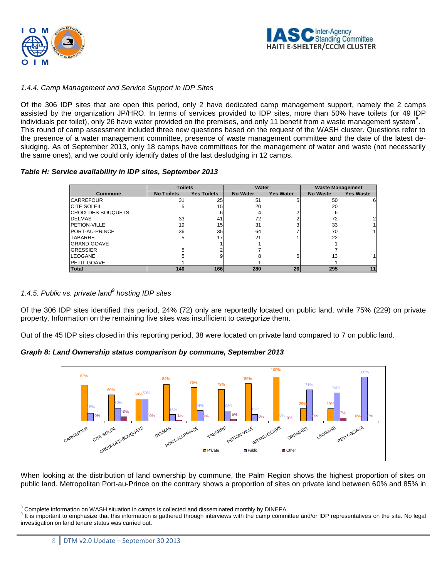



## *1.4.4. Camp Management and Service Support in IDP Sites*

Of the 306 IDP sites that are open this period, only 2 have dedicated camp management support, namely the 2 camps assisted by the organization JP/HRO. In terms of services provided to IDP sites, more than 50% have toilets (or 49 IDP individuals per toilet), only 26 have water provided on the premises, and only 11 benefit from a waste management system $^8$ . This round of camp assessment included three new questions based on the request of the WASH cluster. Questions refer to the presence of a water management committee, presence of waste management committee and the date of the latest desludging. As of September 2013, only 18 camps have committees for the management of water and waste (not necessarily the same ones), and we could only identify dates of the last desludging in 12 camps.

#### *Table H: Service availability in IDP sites, September 2013*

|                     |                   | <b>Toilets</b>     |                 | Water            | <b>Waste Management</b> |                  |
|---------------------|-------------------|--------------------|-----------------|------------------|-------------------------|------------------|
| Commune             | <b>No Toilets</b> | <b>Yes Toilets</b> | <b>No Water</b> | <b>Yes Water</b> | <b>No Waste</b>         | <b>Yes Waste</b> |
| <b>CARREFOUR</b>    | 31                | 25                 | 51              |                  | 50                      | 6                |
| <b>ICITE SOLEIL</b> | 5                 | 15 <sup>1</sup>    | 20              |                  | 20                      |                  |
| CROIX-DES-BOUQUETS  |                   |                    | 4               |                  | 6                       |                  |
| <b>DELMAS</b>       | 33                | 41                 | 72              |                  | 72                      |                  |
| <b>PETION-VILLE</b> | 19                | 15 <sup>1</sup>    | 31              |                  | 33                      |                  |
| PORT-AU-PRINCE      | 36                | 35 <sub>1</sub>    | 64              |                  | 70                      |                  |
| <b>TABARRE</b>      | 5                 | 17                 | 21              |                  | 22                      |                  |
| GRAND-GOAVE         |                   |                    |                 |                  |                         |                  |
| <b>GRESSIER</b>     |                   |                    |                 |                  |                         |                  |
| LEOGANE             |                   |                    |                 |                  | 13                      |                  |
| <b>PETIT-GOAVE</b>  |                   |                    |                 |                  |                         |                  |
| <b>Total</b>        | 140               | <b>166</b>         | 280             | 26               | 295                     | 11               |

## *1.4.5. Public vs. private land<sup>9</sup> hosting IDP sites*

Of the 306 IDP sites identified this period, 24% (72) only are reportedly located on public land, while 75% (229) on private property. Information on the remaining five sites was insufficient to categorize them.

Out of the 45 IDP sites closed in this reporting period, 38 were located on private land compared to 7 on public land.

#### *Graph 8: Land Ownership status comparison by commune, September 2013*



When looking at the distribution of land ownership by commune, the Palm Region shows the highest proportion of sites on public land. Metropolitan Port-au-Prince on the contrary shows a proportion of sites on private land between 60% and 85% in

  $8$  Complete information on WASH situation in camps is collected and disseminated monthly by DINEPA.

<sup>&</sup>lt;sup>9</sup> It is important to emphasize that this information is gathered through interviews with the camp committee and/or IDP representatives on the site. No legal investigation on land tenure status was carried out.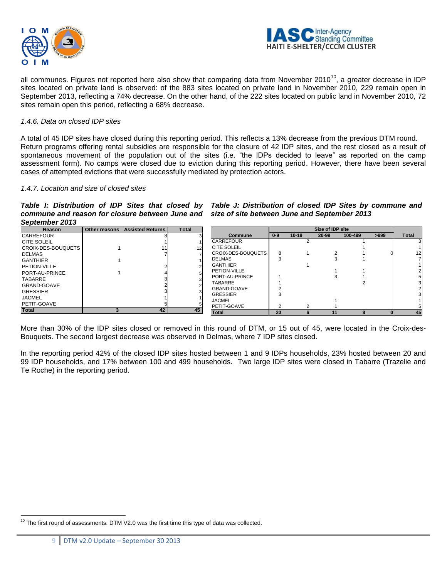



all communes. Figures not reported here also show that comparing data from November 2010<sup>10</sup>, a greater decrease in IDP sites located on private land is observed: of the 883 sites located on private land in November 2010, 229 remain open in September 2013, reflecting a 74% decrease. On the other hand, of the 222 sites located on public land in November 2010, 72 sites remain open this period, reflecting a 68% decrease.

#### *1.4.6. Data on closed IDP sites*

A total of 45 IDP sites have closed during this reporting period. This reflects a 13% decrease from the previous DTM round. Return programs offering rental subsidies are responsible for the closure of 42 IDP sites, and the rest closed as a result of spontaneous movement of the population out of the sites (i.e. "the IDPs decided to leave" as reported on the camp assessment form). No camps were closed due to eviction during this reporting period. However, there have been several cases of attempted evictions that were successfully mediated by protection actors.

#### *1.4.7. Location and size of closed sites*

Table I: Distribution of IDP Sites that closed by Table J: Distribution of closed IDP Sites by commune and *commune and reason for closure between June and size of site between June and September 2013 September 2013*

| <b>Reason</b>      | Other reasons | <b>Assisted Returns</b> | <b>Total</b> |                            | Size of IDP site |         |       |         |      |                 |
|--------------------|---------------|-------------------------|--------------|----------------------------|------------------|---------|-------|---------|------|-----------------|
| <b>CARREFOUR</b>   |               |                         |              | <b>Commune</b>             | $0 - 9$          | $10-19$ | 20-99 | 100-499 | >999 | <b>Total</b>    |
| CITE SOLEIL        |               |                         |              | <b>CARREFOUR</b>           |                  |         |       |         |      |                 |
| CROIX-DES-BOUQUETS |               |                         | 12           | <b>ICITE SOLEIL</b>        |                  |         |       |         |      |                 |
| <b>DELMAS</b>      |               |                         |              | <b>ICROIX-DES-BOUQUETS</b> |                  |         |       |         |      | 12 <sup>1</sup> |
| <b>GANTHIER</b>    |               |                         |              | <b>IDELMAS</b>             |                  |         |       |         |      |                 |
| PETION-VILLE       |               |                         |              | <b>IGANTHIER</b>           |                  |         |       |         |      |                 |
| PORT-AU-PRINCE     |               |                         |              | <b>IPETION-VILLE</b>       |                  |         |       |         |      |                 |
| <b>TABARRE</b>     |               |                         |              | <b>PORT-AU-PRINCE</b>      |                  |         |       |         |      |                 |
| GRAND-GOAVE        |               |                         |              | <b>TABARRE</b>             |                  |         |       |         |      |                 |
| <b>GRESSIER</b>    |               |                         |              | <b>IGRAND-GOAVE</b>        |                  |         |       |         |      |                 |
| <b>JACMEL</b>      |               |                         |              | <b>GRESSIER</b>            |                  |         |       |         |      |                 |
| PETIT-GOAVE        |               |                         |              | <b>JACMEL</b>              |                  |         |       |         |      |                 |
| <b>Total</b>       |               | 42                      | 45           | <b>IPETIT-GOAVE</b>        |                  |         |       |         |      |                 |
|                    |               |                         |              | <b>Total</b>               | 20               |         | 11    |         |      | 45              |

More than 30% of the IDP sites closed or removed in this round of DTM, or 15 out of 45, were located in the Croix-des-Bouquets. The second largest decrease was observed in Delmas, where 7 IDP sites closed.

In the reporting period 42% of the closed IDP sites hosted between 1 and 9 IDPs households, 23% hosted between 20 and 99 IDP households, and 17% between 100 and 499 households. Two large IDP sites were closed in Tabarre (Trazelie and Te Roche) in the reporting period.

 $\overline{a}$  $10$  The first round of assessments: DTM V2.0 was the first time this type of data was collected.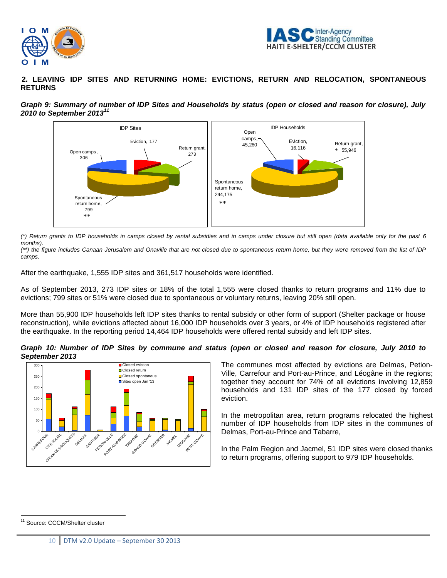



**2. LEAVING IDP SITES AND RETURNING HOME: EVICTIONS, RETURN AND RELOCATION, SPONTANEOUS RETURNS**





*(\*) Return grants to IDP households in camps closed by rental subsidies and in camps under closure but still open (data available only for the past 6 months).*

*(\*\*) the figure includes Canaan Jerusalem and Onaville that are not closed due to spontaneous return home, but they were removed from the list of IDP camps.*

After the earthquake, 1,555 IDP sites and 361,517 households were identified.

As of September 2013, 273 IDP sites or 18% of the total 1,555 were closed thanks to return programs and 11% due to evictions; 799 sites or 51% were closed due to spontaneous or voluntary returns, leaving 20% still open.

More than 55,900 IDP households left IDP sites thanks to rental subsidy or other form of support (Shelter package or house reconstruction), while evictions affected about 16,000 IDP households over 3 years, or 4% of IDP households registered after the earthquake. In the reporting period 14,464 IDP households were offered rental subsidy and left IDP sites.

*Graph 10: Number of IDP Sites by commune and status (open or closed and reason for closure, July 2010 to September 2013*



The communes most affected by evictions are Delmas, Petion-Ville, Carrefour and Port-au-Prince, and Léogâne in the regions; together they account for 74% of all evictions involving 12,859 households and 131 IDP sites of the 177 closed by forced eviction.

In the metropolitan area, return programs relocated the highest number of IDP households from IDP sites in the communes of Delmas, Port-au-Prince and Tabarre,

In the Palm Region and Jacmel, 51 IDP sites were closed thanks to return programs, offering support to 979 IDP households.

 $\overline{a}$ <sup>11</sup> Source: CCCM/Shelter cluster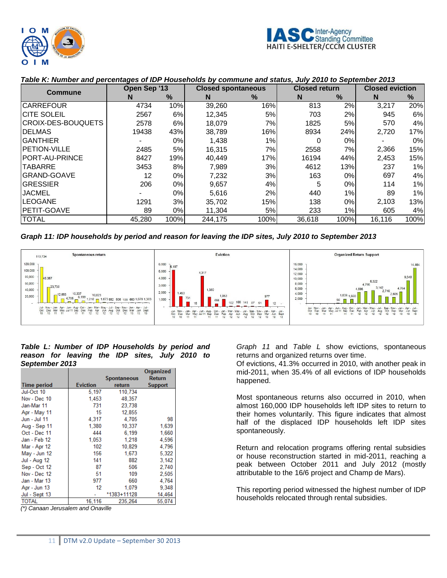

| Commune                | Open Sep '13 |      | <b>Closed spontaneous</b> |      | <b>Closed return</b> |       | <b>Closed eviction</b> |      |
|------------------------|--------------|------|---------------------------|------|----------------------|-------|------------------------|------|
|                        | N            | $\%$ | N                         | $\%$ | N                    | $\%$  | N                      | $\%$ |
| <b>CARREFOUR</b>       | 4734         | 10%  | 39,260                    | 16%  | 813                  | 2%    | 3.217                  | 20%  |
| <b>CITE SOLEIL</b>     | 2567         | 6%   | 12,345                    | 5%   | 703                  | 2%    | 945                    | 6%   |
| CROIX-DES-BOUQUETS     | 2578         | 6%   | 18.079                    | 7%   | 1825                 | 5%    | 570                    | 4%   |
| <b>DELMAS</b>          | 19438        | 43%  | 38.789                    | 16%  | 8934                 | 24%   | 2,720                  | 17%  |
| IGANTHIER              |              | 0%   | 1,438                     | 1%   | 0                    | 0%    |                        | 0%   |
| <b>PETION-VILLE</b>    | 2485         | 5%   | 16,315                    | 7%   | 2558                 | 7%I   | 2,366                  | 15%  |
| <b>IPORT-AU-PRINCE</b> | 8427         | 19%  | 40.449                    | 17%  | 16194                | 44%   | 2,453                  | 15%  |
| <b>TABARRE</b>         | 3453         | 8%   | 7.989                     | 3%   | 4612                 | 13%   | 237                    | 1%   |
| <b>GRAND-GOAVE</b>     | 12           | 0%   | 7.232                     | 3%   | 163                  | $0\%$ | 697                    | 4%   |
| <b>GRESSIER</b>        | 206          | 0%   | 9,657                     | 4%   | 5                    | 0%    | 114                    | 1%   |
| <b>JACMEL</b>          |              | 0%   | 5.616                     | 2%   | 440                  | 1%    | 89                     | 1%   |
| <b>LEOGANE</b>         | 1291         | 3%   | 35,702                    | 15%  | 138                  | 0%I   | 2.103                  | 13%  |
| <b>PETIT-GOAVE</b>     | 89           | 0%   | 11,304                    | 5%   | 233                  | 1%    | 605                    | 4%   |
| <b>TOTAL</b>           | 45.280       | 100% | 244.175                   | 100% | 36.618               | 100%  | 16.116                 | 100% |

### *Table K: Number and percentages of IDP Households by commune and status, July 2010 to September 2013*

*Graph 11: IDP households by period and reason for leaving the IDP sites, July 2010 to September 2013*



#### *Table L: Number of IDP Households by period and reason for leaving the IDP sites, July 2010 to September 2013*

|                     |                    | Organized   |         |
|---------------------|--------------------|-------------|---------|
|                     | <b>Spontaneous</b> |             | Return  |
| <b>Time period</b>  | <b>Eviction</b>    | return      | Support |
| Jul-Oct 10          | 5.197              | 110.734     |         |
| Nov - Dec 10        | 1.453              | 48,357      |         |
| Jan-Mar 11          | 731                | 23,738      |         |
| Apr - May 11        | 15                 | 12,855      |         |
| Jun - Jul 11        | 4,317              | 4.705       | 98      |
| Aug - Sep 11        | 1,380              | 10,337      | 1,639   |
| Oct - Dec 11        | 444                | 6.199       | 1,660   |
| Jan - Feb 12        | 1,053              | 1,218       | 4,596   |
| Mar - Apr 12        | 102                | 10.829      | 4,796   |
| May - Jun 12        | 156                | 1.673       | 5,322   |
| <b>Jul - Aug 12</b> | 141                | 882         | 3,142   |
| Sep - Oct 12        | 87                 | 506         | 2,740   |
| Nov - Dec 12        | 51                 | 109         | 2,505   |
| Jan - Mar 13        | 977                | 660         | 4,764   |
| Apr - Jun 13        | 12                 | 1.079       | 9,348   |
| Jul - Sept 13       |                    | *1383+11128 | 14,464  |
| <b>TOTAL</b>        | 16.116             | 235.264     | 55.074  |

*(\*) Canaan Jerusalem and Onaville*

*Graph 11* and *Table L* show evictions, spontaneous returns and organized returns over time.

Of evictions, 41.3% occurred in 2010, with another peak in mid-2011, when 35.4% of all evictions of IDP households happened.

Most spontaneous returns also occurred in 2010, when almost 160,000 IDP households left IDP sites to return to their homes voluntarily. This figure indicates that almost half of the displaced IDP households left IDP sites spontaneously.

Return and relocation programs offering rental subsidies or house reconstruction started in mid-2011, reaching a peak between October 2011 and July 2012 (mostly attributable to the 16/6 project and Champ de Mars).

This reporting period witnessed the highest number of IDP households relocated through rental subsidies.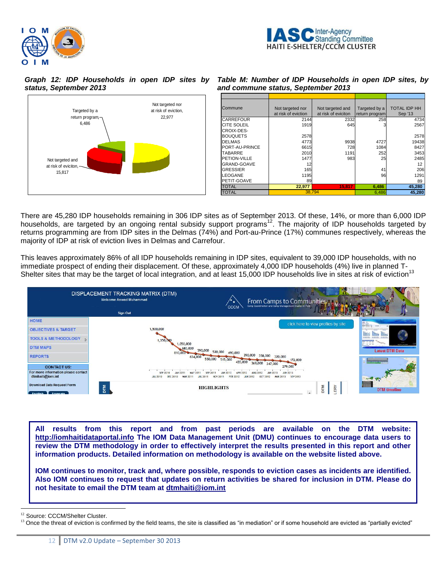



*Graph 12: IDP Households in open IDP sites by status, September 2013*



| Commune            | Not targeted nor<br>at risk of eviction | Not targeted and<br>at risk of eviciton | Targeted by a<br>return program | <b>TOTAL IDP HH</b><br>Sep '13 |
|--------------------|-----------------------------------------|-----------------------------------------|---------------------------------|--------------------------------|
| <b>CARREFOUR</b>   | 2144                                    | 2332                                    | 258                             | 4734                           |
| <b>CITE SOLEIL</b> | 1919                                    | 645                                     |                                 | 2567                           |
| CROIX-DES-         |                                         |                                         |                                 |                                |
| <b>BOUQUETS</b>    | 2578                                    |                                         |                                 | 2578                           |
| <b>DELMAS</b>      | 4773                                    | 9938                                    | 4727                            | 19438                          |
| PORT-AU-PRINCE     | 6615                                    | 728                                     | 1084                            | 8427                           |
| <b>TABARRE</b>     | 2010                                    | 1191                                    | 252                             | 3453                           |
| PETION-VILLE       | 1477                                    | 983                                     | 25                              | 2485                           |
| GRAND-GOAVE        | 12                                      |                                         |                                 | 12                             |
| <b>GRESSIER</b>    | 165                                     |                                         | 41                              | 206                            |
| <b>LEOGANE</b>     | 1195                                    |                                         | 96                              | 1291                           |
| PETIT-GOAVE        | 89                                      |                                         |                                 | 89                             |
| <b>TOTAL</b>       | 22.977                                  | 15.817                                  | 6.486                           | 45,280                         |
| TOTAL              | 38.794                                  |                                         | 6,486                           | 45,280                         |

*Table M: Number of IDP Households in open IDP sites, by and commune status, September 2013*

There are 45,280 IDP households remaining in 306 IDP sites as of September 2013. Of these, 14%, or more than 6,000 IDP households, are targeted by an ongoing rental subsidy support programs<sup>12</sup>. The majority of IDP households targeted by returns programming are from IDP sites in the Delmas (74%) and Port-au-Prince (17%) communes respectively, whereas the majority of IDP at risk of eviction lives in Delmas and Carrefour.

This leaves approximately 86% of all IDP households remaining in IDP sites, equivalent to 39,000 IDP households, with no immediate prospect of ending their displacement. Of these, approximately 4,000 IDP households (4%) live in planned T-Shelter sites that may be the target of local integration, and at least 15,000 IDP households live in sites at risk of eviction<sup>13</sup>



**All results from this report and from past periods are available on the DTM website: [http://iomhaitidataportal.info](http://iomhaitidataportal.info/) The IOM Data Management Unit (DMU) continues to encourage data users to review the DTM methodology in order to effectively interpret the results presented in this report and other information products. Detailed information on methodology is available on the website listed above.** 

**IOM continues to monitor, track and, where possible, responds to eviction cases as incidents are identified. Also IOM continues to request that updates on return activities be shared for inclusion in DTM. Please do not hesitate to email the DTM team at [dtmhaiti@iom.int](mailto:dtmhaiti@iom.int)**

 $\overline{a}$ 

<sup>&</sup>lt;sup>12</sup> Source: CCCM/Shelter Cluster.

<sup>&</sup>lt;sup>13</sup> Once the threat of eviction is confirmed by the field teams, the site is classified as "in mediation" or if some household are evicted as "partially evicted"